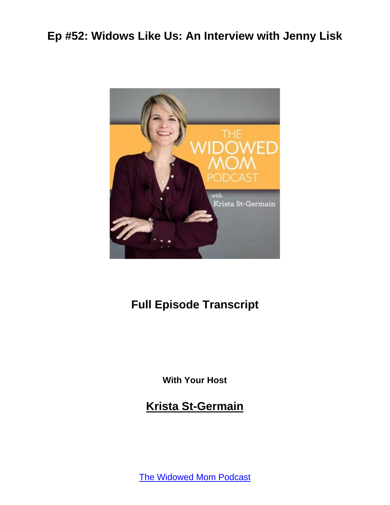

### **Full Episode Transcript**

**With Your Host**

**Krista St-Germain**

[The Widowed Mom Podcast](https://coachingwithkrista.com/podcast)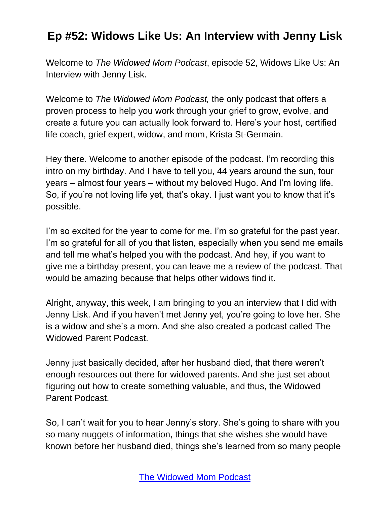Welcome to *The Widowed Mom Podcast*, episode 52, Widows Like Us: An Interview with Jenny Lisk.

Welcome to *The Widowed Mom Podcast,* the only podcast that offers a proven process to help you work through your grief to grow, evolve, and create a future you can actually look forward to. Here's your host, certified life coach, grief expert, widow, and mom, Krista St-Germain.

Hey there. Welcome to another episode of the podcast. I'm recording this intro on my birthday. And I have to tell you, 44 years around the sun, four years – almost four years – without my beloved Hugo. And I'm loving life. So, if you're not loving life yet, that's okay. I just want you to know that it's possible.

I'm so excited for the year to come for me. I'm so grateful for the past year. I'm so grateful for all of you that listen, especially when you send me emails and tell me what's helped you with the podcast. And hey, if you want to give me a birthday present, you can leave me a review of the podcast. That would be amazing because that helps other widows find it.

Alright, anyway, this week, I am bringing to you an interview that I did with Jenny Lisk. And if you haven't met Jenny yet, you're going to love her. She is a widow and she's a mom. And she also created a podcast called The Widowed Parent Podcast.

Jenny just basically decided, after her husband died, that there weren't enough resources out there for widowed parents. And she just set about figuring out how to create something valuable, and thus, the Widowed Parent Podcast.

So, I can't wait for you to hear Jenny's story. She's going to share with you so many nuggets of information, things that she wishes she would have known before her husband died, things she's learned from so many people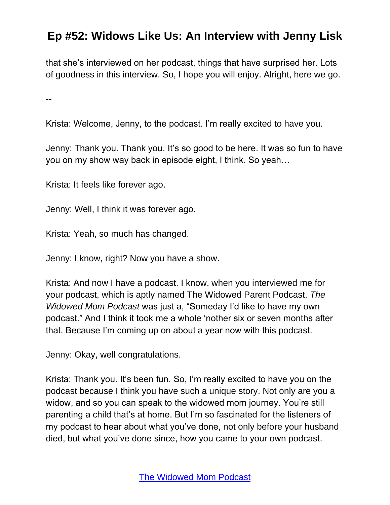that she's interviewed on her podcast, things that have surprised her. Lots of goodness in this interview. So, I hope you will enjoy. Alright, here we go.

--

Krista: Welcome, Jenny, to the podcast. I'm really excited to have you.

Jenny: Thank you. Thank you. It's so good to be here. It was so fun to have you on my show way back in episode eight, I think. So yeah…

Krista: It feels like forever ago.

Jenny: Well, I think it was forever ago.

Krista: Yeah, so much has changed.

Jenny: I know, right? Now you have a show.

Krista: And now I have a podcast. I know, when you interviewed me for your podcast, which is aptly named The Widowed Parent Podcast, *The Widowed Mom Podcast* was just a, "Someday I'd like to have my own podcast." And I think it took me a whole 'nother six or seven months after that. Because I'm coming up on about a year now with this podcast.

Jenny: Okay, well congratulations.

Krista: Thank you. It's been fun. So, I'm really excited to have you on the podcast because I think you have such a unique story. Not only are you a widow, and so you can speak to the widowed mom journey. You're still parenting a child that's at home. But I'm so fascinated for the listeners of my podcast to hear about what you've done, not only before your husband died, but what you've done since, how you came to your own podcast.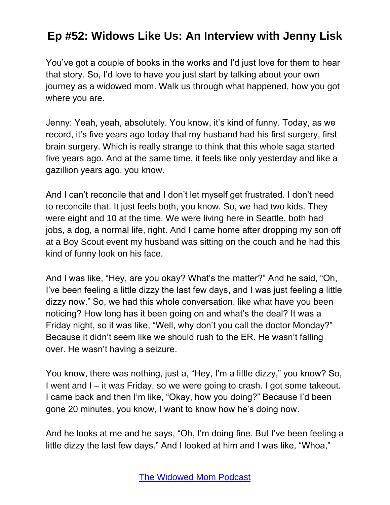You've got a couple of books in the works and I'd just love for them to hear that story. So, I'd love to have you just start by talking about your own journey as a widowed mom. Walk us through what happened, how you got where you are.

Jenny: Yeah, yeah, absolutely. You know, it's kind of funny. Today, as we record, it's five years ago today that my husband had his first surgery, first brain surgery. Which is really strange to think that this whole saga started five years ago. And at the same time, it feels like only yesterday and like a gazillion years ago, you know.

And I can't reconcile that and I don't let myself get frustrated. I don't need to reconcile that. It just feels both, you know. So, we had two kids. They were eight and 10 at the time. We were living here in Seattle, both had jobs, a dog, a normal life, right. And I came home after dropping my son off at a Boy Scout event my husband was sitting on the couch and he had this kind of funny look on his face.

And I was like, "Hey, are you okay? What's the matter?" And he said, "Oh, I've been feeling a little dizzy the last few days, and I was just feeling a little dizzy now." So, we had this whole conversation, like what have you been noticing? How long has it been going on and what's the deal? It was a Friday night, so it was like, "Well, why don't you call the doctor Monday?" Because it didn't seem like we should rush to the ER. He wasn't falling over. He wasn't having a seizure.

You know, there was nothing, just a, "Hey, I'm a little dizzy," you know? So, I went and I – it was Friday, so we were going to crash. I got some takeout. I came back and then I'm like, "Okay, how you doing?" Because I'd been gone 20 minutes, you know, I want to know how he's doing now.

And he looks at me and he says, "Oh, I'm doing fine. But I've been feeling a little dizzy the last few days." And I looked at him and I was like, "Whoa,"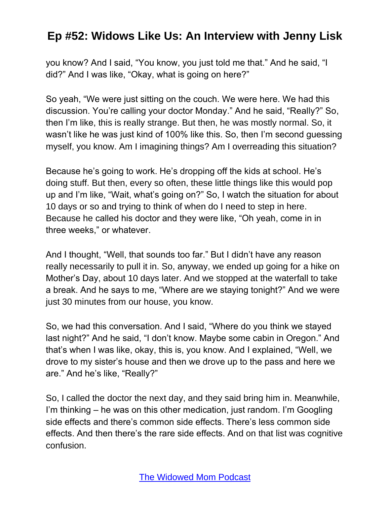you know? And I said, "You know, you just told me that." And he said, "I did?" And I was like, "Okay, what is going on here?"

So yeah, "We were just sitting on the couch. We were here. We had this discussion. You're calling your doctor Monday." And he said, "Really?" So, then I'm like, this is really strange. But then, he was mostly normal. So, it wasn't like he was just kind of 100% like this. So, then I'm second guessing myself, you know. Am I imagining things? Am I overreading this situation?

Because he's going to work. He's dropping off the kids at school. He's doing stuff. But then, every so often, these little things like this would pop up and I'm like, "Wait, what's going on?" So, I watch the situation for about 10 days or so and trying to think of when do I need to step in here. Because he called his doctor and they were like, "Oh yeah, come in in three weeks," or whatever.

And I thought, "Well, that sounds too far." But I didn't have any reason really necessarily to pull it in. So, anyway, we ended up going for a hike on Mother's Day, about 10 days later. And we stopped at the waterfall to take a break. And he says to me, "Where are we staying tonight?" And we were just 30 minutes from our house, you know.

So, we had this conversation. And I said, "Where do you think we stayed last night?" And he said, "I don't know. Maybe some cabin in Oregon." And that's when I was like, okay, this is, you know. And I explained, "Well, we drove to my sister's house and then we drove up to the pass and here we are." And he's like, "Really?"

So, I called the doctor the next day, and they said bring him in. Meanwhile, I'm thinking – he was on this other medication, just random. I'm Googling side effects and there's common side effects. There's less common side effects. And then there's the rare side effects. And on that list was cognitive confusion.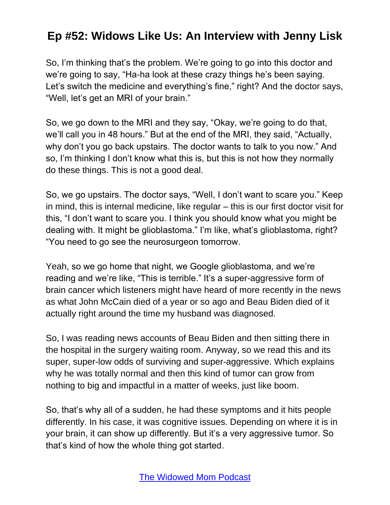So, I'm thinking that's the problem. We're going to go into this doctor and we're going to say, "Ha-ha look at these crazy things he's been saying. Let's switch the medicine and everything's fine," right? And the doctor says, "Well, let's get an MRI of your brain."

So, we go down to the MRI and they say, "Okay, we're going to do that, we'll call you in 48 hours." But at the end of the MRI, they said, "Actually, why don't you go back upstairs. The doctor wants to talk to you now." And so, I'm thinking I don't know what this is, but this is not how they normally do these things. This is not a good deal.

So, we go upstairs. The doctor says, "Well, I don't want to scare you." Keep in mind, this is internal medicine, like regular – this is our first doctor visit for this, "I don't want to scare you. I think you should know what you might be dealing with. It might be glioblastoma." I'm like, what's glioblastoma, right? "You need to go see the neurosurgeon tomorrow.

Yeah, so we go home that night, we Google glioblastoma, and we're reading and we're like, "This is terrible." It's a super-aggressive form of brain cancer which listeners might have heard of more recently in the news as what John McCain died of a year or so ago and Beau Biden died of it actually right around the time my husband was diagnosed.

So, I was reading news accounts of Beau Biden and then sitting there in the hospital in the surgery waiting room. Anyway, so we read this and its super, super-low odds of surviving and super-aggressive. Which explains why he was totally normal and then this kind of tumor can grow from nothing to big and impactful in a matter of weeks, just like boom.

So, that's why all of a sudden, he had these symptoms and it hits people differently. In his case, it was cognitive issues. Depending on where it is in your brain, it can show up differently. But it's a very aggressive tumor. So that's kind of how the whole thing got started.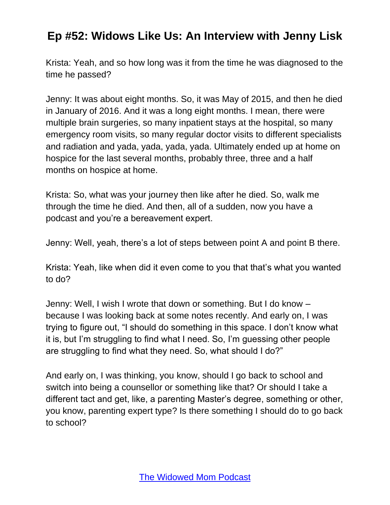Krista: Yeah, and so how long was it from the time he was diagnosed to the time he passed?

Jenny: It was about eight months. So, it was May of 2015, and then he died in January of 2016. And it was a long eight months. I mean, there were multiple brain surgeries, so many inpatient stays at the hospital, so many emergency room visits, so many regular doctor visits to different specialists and radiation and yada, yada, yada, yada. Ultimately ended up at home on hospice for the last several months, probably three, three and a half months on hospice at home.

Krista: So, what was your journey then like after he died. So, walk me through the time he died. And then, all of a sudden, now you have a podcast and you're a bereavement expert.

Jenny: Well, yeah, there's a lot of steps between point A and point B there.

Krista: Yeah, like when did it even come to you that that's what you wanted to do?

Jenny: Well, I wish I wrote that down or something. But I do know – because I was looking back at some notes recently. And early on, I was trying to figure out, "I should do something in this space. I don't know what it is, but I'm struggling to find what I need. So, I'm guessing other people are struggling to find what they need. So, what should I do?"

And early on, I was thinking, you know, should I go back to school and switch into being a counsellor or something like that? Or should I take a different tact and get, like, a parenting Master's degree, something or other, you know, parenting expert type? Is there something I should do to go back to school?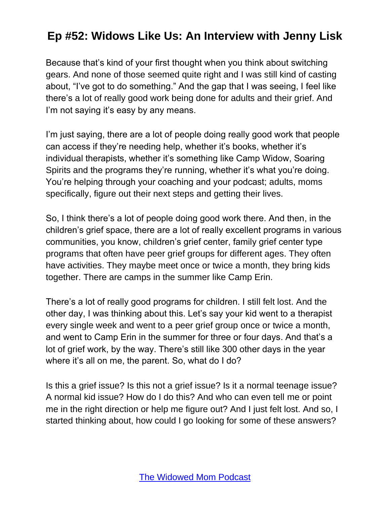Because that's kind of your first thought when you think about switching gears. And none of those seemed quite right and I was still kind of casting about, "I've got to do something." And the gap that I was seeing, I feel like there's a lot of really good work being done for adults and their grief. And I'm not saying it's easy by any means.

I'm just saying, there are a lot of people doing really good work that people can access if they're needing help, whether it's books, whether it's individual therapists, whether it's something like Camp Widow, Soaring Spirits and the programs they're running, whether it's what you're doing. You're helping through your coaching and your podcast; adults, moms specifically, figure out their next steps and getting their lives.

So, I think there's a lot of people doing good work there. And then, in the children's grief space, there are a lot of really excellent programs in various communities, you know, children's grief center, family grief center type programs that often have peer grief groups for different ages. They often have activities. They maybe meet once or twice a month, they bring kids together. There are camps in the summer like Camp Erin.

There's a lot of really good programs for children. I still felt lost. And the other day, I was thinking about this. Let's say your kid went to a therapist every single week and went to a peer grief group once or twice a month, and went to Camp Erin in the summer for three or four days. And that's a lot of grief work, by the way. There's still like 300 other days in the year where it's all on me, the parent. So, what do I do?

Is this a grief issue? Is this not a grief issue? Is it a normal teenage issue? A normal kid issue? How do I do this? And who can even tell me or point me in the right direction or help me figure out? And I just felt lost. And so, I started thinking about, how could I go looking for some of these answers?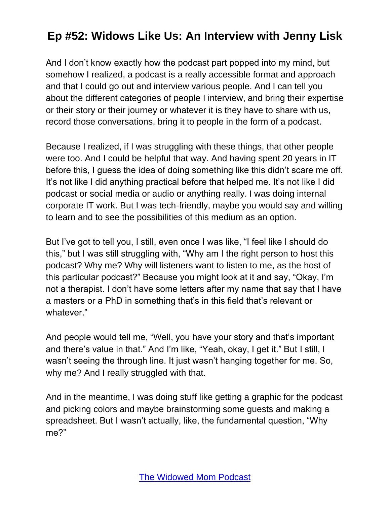And I don't know exactly how the podcast part popped into my mind, but somehow I realized, a podcast is a really accessible format and approach and that I could go out and interview various people. And I can tell you about the different categories of people I interview, and bring their expertise or their story or their journey or whatever it is they have to share with us, record those conversations, bring it to people in the form of a podcast.

Because I realized, if I was struggling with these things, that other people were too. And I could be helpful that way. And having spent 20 years in IT before this, I guess the idea of doing something like this didn't scare me off. It's not like I did anything practical before that helped me. It's not like I did podcast or social media or audio or anything really. I was doing internal corporate IT work. But I was tech-friendly, maybe you would say and willing to learn and to see the possibilities of this medium as an option.

But I've got to tell you, I still, even once I was like, "I feel like I should do this," but I was still struggling with, "Why am I the right person to host this podcast? Why me? Why will listeners want to listen to me, as the host of this particular podcast?" Because you might look at it and say, "Okay, I'm not a therapist. I don't have some letters after my name that say that I have a masters or a PhD in something that's in this field that's relevant or whatever."

And people would tell me, "Well, you have your story and that's important and there's value in that." And I'm like, "Yeah, okay, I get it." But I still, I wasn't seeing the through line. It just wasn't hanging together for me. So, why me? And I really struggled with that.

And in the meantime, I was doing stuff like getting a graphic for the podcast and picking colors and maybe brainstorming some guests and making a spreadsheet. But I wasn't actually, like, the fundamental question, "Why me?"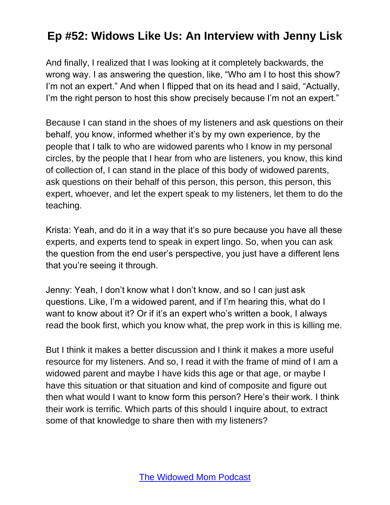And finally, I realized that I was looking at it completely backwards, the wrong way. I as answering the question, like, "Who am I to host this show? I'm not an expert." And when I flipped that on its head and I said, "Actually, I'm the right person to host this show precisely because I'm not an expert."

Because I can stand in the shoes of my listeners and ask questions on their behalf, you know, informed whether it's by my own experience, by the people that I talk to who are widowed parents who I know in my personal circles, by the people that I hear from who are listeners, you know, this kind of collection of, I can stand in the place of this body of widowed parents, ask questions on their behalf of this person, this person, this person, this expert, whoever, and let the expert speak to my listeners, let them to do the teaching.

Krista: Yeah, and do it in a way that it's so pure because you have all these experts, and experts tend to speak in expert lingo. So, when you can ask the question from the end user's perspective, you just have a different lens that you're seeing it through.

Jenny: Yeah, I don't know what I don't know, and so I can just ask questions. Like, I'm a widowed parent, and if I'm hearing this, what do I want to know about it? Or if it's an expert who's written a book, I always read the book first, which you know what, the prep work in this is killing me.

But I think it makes a better discussion and I think it makes a more useful resource for my listeners. And so, I read it with the frame of mind of I am a widowed parent and maybe I have kids this age or that age, or maybe I have this situation or that situation and kind of composite and figure out then what would I want to know form this person? Here's their work. I think their work is terrific. Which parts of this should I inquire about, to extract some of that knowledge to share then with my listeners?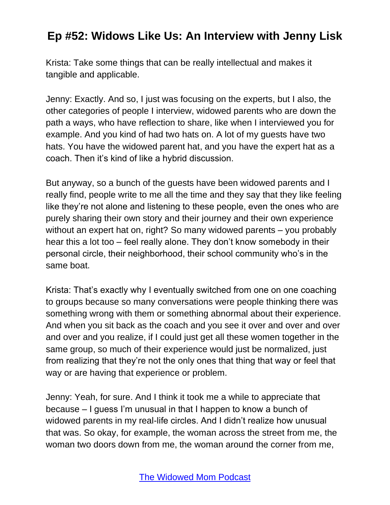Krista: Take some things that can be really intellectual and makes it tangible and applicable.

Jenny: Exactly. And so, I just was focusing on the experts, but I also, the other categories of people I interview, widowed parents who are down the path a ways, who have reflection to share, like when I interviewed you for example. And you kind of had two hats on. A lot of my guests have two hats. You have the widowed parent hat, and you have the expert hat as a coach. Then it's kind of like a hybrid discussion.

But anyway, so a bunch of the guests have been widowed parents and I really find, people write to me all the time and they say that they like feeling like they're not alone and listening to these people, even the ones who are purely sharing their own story and their journey and their own experience without an expert hat on, right? So many widowed parents – you probably hear this a lot too – feel really alone. They don't know somebody in their personal circle, their neighborhood, their school community who's in the same boat.

Krista: That's exactly why I eventually switched from one on one coaching to groups because so many conversations were people thinking there was something wrong with them or something abnormal about their experience. And when you sit back as the coach and you see it over and over and over and over and you realize, if I could just get all these women together in the same group, so much of their experience would just be normalized, just from realizing that they're not the only ones that thing that way or feel that way or are having that experience or problem.

Jenny: Yeah, for sure. And I think it took me a while to appreciate that because – I guess I'm unusual in that I happen to know a bunch of widowed parents in my real-life circles. And I didn't realize how unusual that was. So okay, for example, the woman across the street from me, the woman two doors down from me, the woman around the corner from me,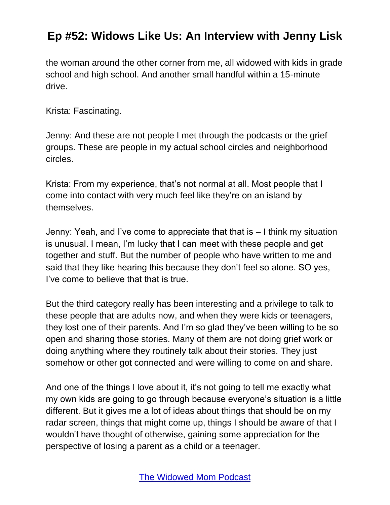the woman around the other corner from me, all widowed with kids in grade school and high school. And another small handful within a 15-minute drive.

Krista: Fascinating.

Jenny: And these are not people I met through the podcasts or the grief groups. These are people in my actual school circles and neighborhood circles.

Krista: From my experience, that's not normal at all. Most people that I come into contact with very much feel like they're on an island by themselves.

Jenny: Yeah, and I've come to appreciate that that is – I think my situation is unusual. I mean, I'm lucky that I can meet with these people and get together and stuff. But the number of people who have written to me and said that they like hearing this because they don't feel so alone. SO yes, I've come to believe that that is true.

But the third category really has been interesting and a privilege to talk to these people that are adults now, and when they were kids or teenagers, they lost one of their parents. And I'm so glad they've been willing to be so open and sharing those stories. Many of them are not doing grief work or doing anything where they routinely talk about their stories. They just somehow or other got connected and were willing to come on and share.

And one of the things I love about it, it's not going to tell me exactly what my own kids are going to go through because everyone's situation is a little different. But it gives me a lot of ideas about things that should be on my radar screen, things that might come up, things I should be aware of that I wouldn't have thought of otherwise, gaining some appreciation for the perspective of losing a parent as a child or a teenager.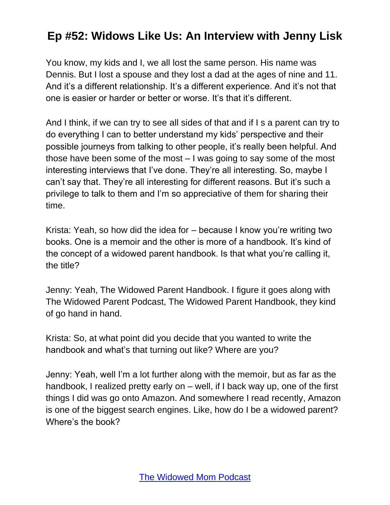You know, my kids and I, we all lost the same person. His name was Dennis. But I lost a spouse and they lost a dad at the ages of nine and 11. And it's a different relationship. It's a different experience. And it's not that one is easier or harder or better or worse. It's that it's different.

And I think, if we can try to see all sides of that and if I s a parent can try to do everything I can to better understand my kids' perspective and their possible journeys from talking to other people, it's really been helpful. And those have been some of the most – I was going to say some of the most interesting interviews that I've done. They're all interesting. So, maybe I can't say that. They're all interesting for different reasons. But it's such a privilege to talk to them and I'm so appreciative of them for sharing their time.

Krista: Yeah, so how did the idea for – because I know you're writing two books. One is a memoir and the other is more of a handbook. It's kind of the concept of a widowed parent handbook. Is that what you're calling it, the title?

Jenny: Yeah, The Widowed Parent Handbook. I figure it goes along with The Widowed Parent Podcast, The Widowed Parent Handbook, they kind of go hand in hand.

Krista: So, at what point did you decide that you wanted to write the handbook and what's that turning out like? Where are you?

Jenny: Yeah, well I'm a lot further along with the memoir, but as far as the handbook, I realized pretty early on – well, if I back way up, one of the first things I did was go onto Amazon. And somewhere I read recently, Amazon is one of the biggest search engines. Like, how do I be a widowed parent? Where's the book?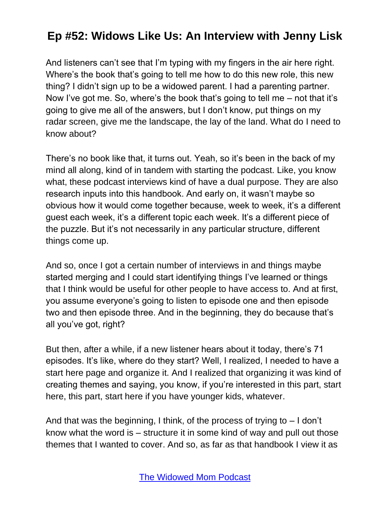And listeners can't see that I'm typing with my fingers in the air here right. Where's the book that's going to tell me how to do this new role, this new thing? I didn't sign up to be a widowed parent. I had a parenting partner. Now I've got me. So, where's the book that's going to tell me – not that it's going to give me all of the answers, but I don't know, put things on my radar screen, give me the landscape, the lay of the land. What do I need to know about?

There's no book like that, it turns out. Yeah, so it's been in the back of my mind all along, kind of in tandem with starting the podcast. Like, you know what, these podcast interviews kind of have a dual purpose. They are also research inputs into this handbook. And early on, it wasn't maybe so obvious how it would come together because, week to week, it's a different guest each week, it's a different topic each week. It's a different piece of the puzzle. But it's not necessarily in any particular structure, different things come up.

And so, once I got a certain number of interviews in and things maybe started merging and I could start identifying things I've learned or things that I think would be useful for other people to have access to. And at first, you assume everyone's going to listen to episode one and then episode two and then episode three. And in the beginning, they do because that's all you've got, right?

But then, after a while, if a new listener hears about it today, there's 71 episodes. It's like, where do they start? Well, I realized, I needed to have a start here page and organize it. And I realized that organizing it was kind of creating themes and saying, you know, if you're interested in this part, start here, this part, start here if you have younger kids, whatever.

And that was the beginning, I think, of the process of trying to – I don't know what the word is – structure it in some kind of way and pull out those themes that I wanted to cover. And so, as far as that handbook I view it as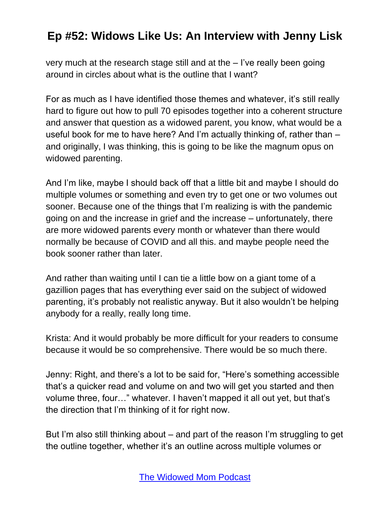very much at the research stage still and at the – I've really been going around in circles about what is the outline that I want?

For as much as I have identified those themes and whatever, it's still really hard to figure out how to pull 70 episodes together into a coherent structure and answer that question as a widowed parent, you know, what would be a useful book for me to have here? And I'm actually thinking of, rather than – and originally, I was thinking, this is going to be like the magnum opus on widowed parenting.

And I'm like, maybe I should back off that a little bit and maybe I should do multiple volumes or something and even try to get one or two volumes out sooner. Because one of the things that I'm realizing is with the pandemic going on and the increase in grief and the increase – unfortunately, there are more widowed parents every month or whatever than there would normally be because of COVID and all this. and maybe people need the book sooner rather than later.

And rather than waiting until I can tie a little bow on a giant tome of a gazillion pages that has everything ever said on the subject of widowed parenting, it's probably not realistic anyway. But it also wouldn't be helping anybody for a really, really long time.

Krista: And it would probably be more difficult for your readers to consume because it would be so comprehensive. There would be so much there.

Jenny: Right, and there's a lot to be said for, "Here's something accessible that's a quicker read and volume on and two will get you started and then volume three, four…" whatever. I haven't mapped it all out yet, but that's the direction that I'm thinking of it for right now.

But I'm also still thinking about – and part of the reason I'm struggling to get the outline together, whether it's an outline across multiple volumes or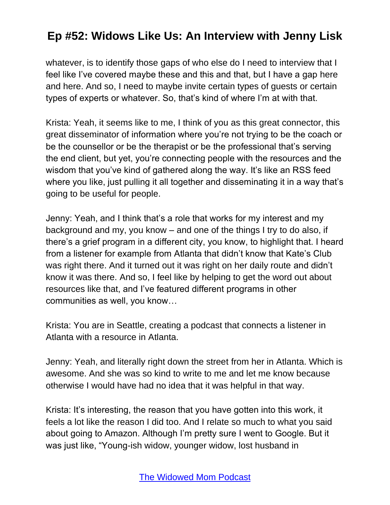whatever, is to identify those gaps of who else do I need to interview that I feel like I've covered maybe these and this and that, but I have a gap here and here. And so, I need to maybe invite certain types of guests or certain types of experts or whatever. So, that's kind of where I'm at with that.

Krista: Yeah, it seems like to me, I think of you as this great connector, this great disseminator of information where you're not trying to be the coach or be the counsellor or be the therapist or be the professional that's serving the end client, but yet, you're connecting people with the resources and the wisdom that you've kind of gathered along the way. It's like an RSS feed where you like, just pulling it all together and disseminating it in a way that's going to be useful for people.

Jenny: Yeah, and I think that's a role that works for my interest and my background and my, you know – and one of the things I try to do also, if there's a grief program in a different city, you know, to highlight that. I heard from a listener for example from Atlanta that didn't know that Kate's Club was right there. And it turned out it was right on her daily route and didn't know it was there. And so, I feel like by helping to get the word out about resources like that, and I've featured different programs in other communities as well, you know…

Krista: You are in Seattle, creating a podcast that connects a listener in Atlanta with a resource in Atlanta.

Jenny: Yeah, and literally right down the street from her in Atlanta. Which is awesome. And she was so kind to write to me and let me know because otherwise I would have had no idea that it was helpful in that way.

Krista: It's interesting, the reason that you have gotten into this work, it feels a lot like the reason I did too. And I relate so much to what you said about going to Amazon. Although I'm pretty sure I went to Google. But it was just like, "Young-ish widow, younger widow, lost husband in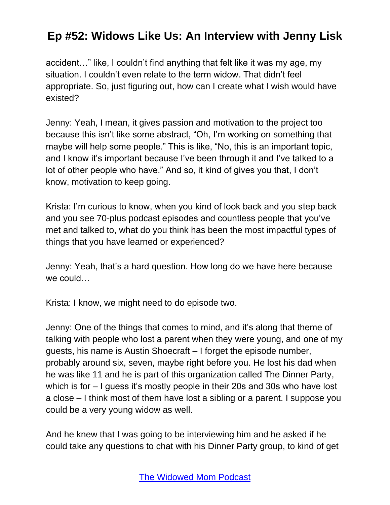accident…" like, I couldn't find anything that felt like it was my age, my situation. I couldn't even relate to the term widow. That didn't feel appropriate. So, just figuring out, how can I create what I wish would have existed?

Jenny: Yeah, I mean, it gives passion and motivation to the project too because this isn't like some abstract, "Oh, I'm working on something that maybe will help some people." This is like, "No, this is an important topic, and I know it's important because I've been through it and I've talked to a lot of other people who have." And so, it kind of gives you that, I don't know, motivation to keep going.

Krista: I'm curious to know, when you kind of look back and you step back and you see 70-plus podcast episodes and countless people that you've met and talked to, what do you think has been the most impactful types of things that you have learned or experienced?

Jenny: Yeah, that's a hard question. How long do we have here because we could…

Krista: I know, we might need to do episode two.

Jenny: One of the things that comes to mind, and it's along that theme of talking with people who lost a parent when they were young, and one of my guests, his name is Austin Shoecraft – I forget the episode number, probably around six, seven, maybe right before you. He lost his dad when he was like 11 and he is part of this organization called The Dinner Party, which is for – I guess it's mostly people in their 20s and 30s who have lost a close – I think most of them have lost a sibling or a parent. I suppose you could be a very young widow as well.

And he knew that I was going to be interviewing him and he asked if he could take any questions to chat with his Dinner Party group, to kind of get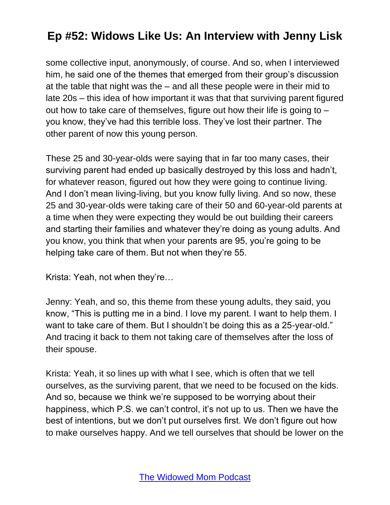some collective input, anonymously, of course. And so, when I interviewed him, he said one of the themes that emerged from their group's discussion at the table that night was the – and all these people were in their mid to late 20s – this idea of how important it was that that surviving parent figured out how to take care of themselves, figure out how their life is going to – you know, they've had this terrible loss. They've lost their partner. The other parent of now this young person.

These 25 and 30-year-olds were saying that in far too many cases, their surviving parent had ended up basically destroyed by this loss and hadn't, for whatever reason, figured out how they were going to continue living. And I don't mean living-living, but you know fully living. And so now, these 25 and 30-year-olds were taking care of their 50 and 60-year-old parents at a time when they were expecting they would be out building their careers and starting their families and whatever they're doing as young adults. And you know, you think that when your parents are 95, you're going to be helping take care of them. But not when they're 55.

Krista: Yeah, not when they're…

Jenny: Yeah, and so, this theme from these young adults, they said, you know, "This is putting me in a bind. I love my parent. I want to help them. I want to take care of them. But I shouldn't be doing this as a 25-year-old." And tracing it back to them not taking care of themselves after the loss of their spouse.

Krista: Yeah, it so lines up with what I see, which is often that we tell ourselves, as the surviving parent, that we need to be focused on the kids. And so, because we think we're supposed to be worrying about their happiness, which P.S. we can't control, it's not up to us. Then we have the best of intentions, but we don't put ourselves first. We don't figure out how to make ourselves happy. And we tell ourselves that should be lower on the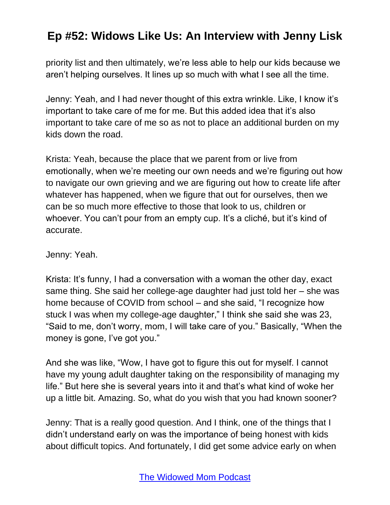priority list and then ultimately, we're less able to help our kids because we aren't helping ourselves. It lines up so much with what I see all the time.

Jenny: Yeah, and I had never thought of this extra wrinkle. Like, I know it's important to take care of me for me. But this added idea that it's also important to take care of me so as not to place an additional burden on my kids down the road.

Krista: Yeah, because the place that we parent from or live from emotionally, when we're meeting our own needs and we're figuring out how to navigate our own grieving and we are figuring out how to create life after whatever has happened, when we figure that out for ourselves, then we can be so much more effective to those that look to us, children or whoever. You can't pour from an empty cup. It's a cliché, but it's kind of accurate.

Jenny: Yeah.

Krista: It's funny, I had a conversation with a woman the other day, exact same thing. She said her college-age daughter had just told her – she was home because of COVID from school – and she said, "I recognize how stuck I was when my college-age daughter," I think she said she was 23, "Said to me, don't worry, mom, I will take care of you." Basically, "When the money is gone, I've got you."

And she was like, "Wow, I have got to figure this out for myself. I cannot have my young adult daughter taking on the responsibility of managing my life." But here she is several years into it and that's what kind of woke her up a little bit. Amazing. So, what do you wish that you had known sooner?

Jenny: That is a really good question. And I think, one of the things that I didn't understand early on was the importance of being honest with kids about difficult topics. And fortunately, I did get some advice early on when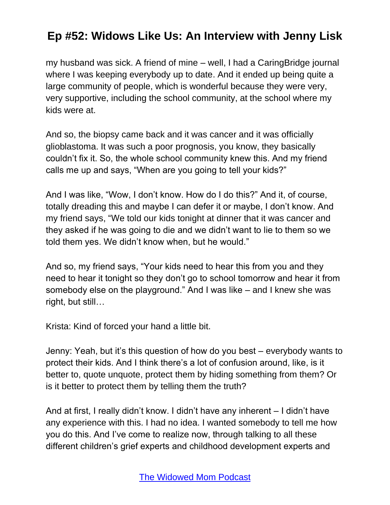my husband was sick. A friend of mine – well, I had a CaringBridge journal where I was keeping everybody up to date. And it ended up being quite a large community of people, which is wonderful because they were very, very supportive, including the school community, at the school where my kids were at.

And so, the biopsy came back and it was cancer and it was officially glioblastoma. It was such a poor prognosis, you know, they basically couldn't fix it. So, the whole school community knew this. And my friend calls me up and says, "When are you going to tell your kids?"

And I was like, "Wow, I don't know. How do I do this?" And it, of course, totally dreading this and maybe I can defer it or maybe, I don't know. And my friend says, "We told our kids tonight at dinner that it was cancer and they asked if he was going to die and we didn't want to lie to them so we told them yes. We didn't know when, but he would."

And so, my friend says, "Your kids need to hear this from you and they need to hear it tonight so they don't go to school tomorrow and hear it from somebody else on the playground." And I was like – and I knew she was right, but still…

Krista: Kind of forced your hand a little bit.

Jenny: Yeah, but it's this question of how do you best – everybody wants to protect their kids. And I think there's a lot of confusion around, like, is it better to, quote unquote, protect them by hiding something from them? Or is it better to protect them by telling them the truth?

And at first, I really didn't know. I didn't have any inherent – I didn't have any experience with this. I had no idea. I wanted somebody to tell me how you do this. And I've come to realize now, through talking to all these different children's grief experts and childhood development experts and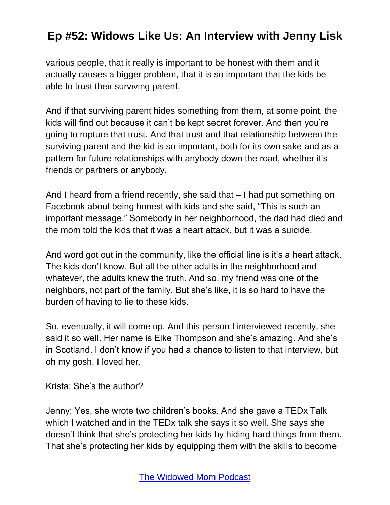various people, that it really is important to be honest with them and it actually causes a bigger problem, that it is so important that the kids be able to trust their surviving parent.

And if that surviving parent hides something from them, at some point, the kids will find out because it can't be kept secret forever. And then you're going to rupture that trust. And that trust and that relationship between the surviving parent and the kid is so important, both for its own sake and as a pattern for future relationships with anybody down the road, whether it's friends or partners or anybody.

And I heard from a friend recently, she said that – I had put something on Facebook about being honest with kids and she said, "This is such an important message." Somebody in her neighborhood, the dad had died and the mom told the kids that it was a heart attack, but it was a suicide.

And word got out in the community, like the official line is it's a heart attack. The kids don't know. But all the other adults in the neighborhood and whatever, the adults knew the truth. And so, my friend was one of the neighbors, not part of the family. But she's like, it is so hard to have the burden of having to lie to these kids.

So, eventually, it will come up. And this person I interviewed recently, she said it so well. Her name is Elke Thompson and she's amazing. And she's in Scotland. I don't know if you had a chance to listen to that interview, but oh my gosh, I loved her.

Krista: She's the author?

Jenny: Yes, she wrote two children's books. And she gave a TEDx Talk which I watched and in the TEDx talk she says it so well. She says she doesn't think that she's protecting her kids by hiding hard things from them. That she's protecting her kids by equipping them with the skills to become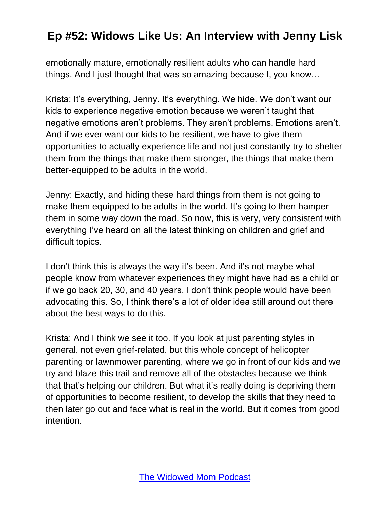emotionally mature, emotionally resilient adults who can handle hard things. And I just thought that was so amazing because I, you know…

Krista: It's everything, Jenny. It's everything. We hide. We don't want our kids to experience negative emotion because we weren't taught that negative emotions aren't problems. They aren't problems. Emotions aren't. And if we ever want our kids to be resilient, we have to give them opportunities to actually experience life and not just constantly try to shelter them from the things that make them stronger, the things that make them better-equipped to be adults in the world.

Jenny: Exactly, and hiding these hard things from them is not going to make them equipped to be adults in the world. It's going to then hamper them in some way down the road. So now, this is very, very consistent with everything I've heard on all the latest thinking on children and grief and difficult topics.

I don't think this is always the way it's been. And it's not maybe what people know from whatever experiences they might have had as a child or if we go back 20, 30, and 40 years, I don't think people would have been advocating this. So, I think there's a lot of older idea still around out there about the best ways to do this.

Krista: And I think we see it too. If you look at just parenting styles in general, not even grief-related, but this whole concept of helicopter parenting or lawnmower parenting, where we go in front of our kids and we try and blaze this trail and remove all of the obstacles because we think that that's helping our children. But what it's really doing is depriving them of opportunities to become resilient, to develop the skills that they need to then later go out and face what is real in the world. But it comes from good intention.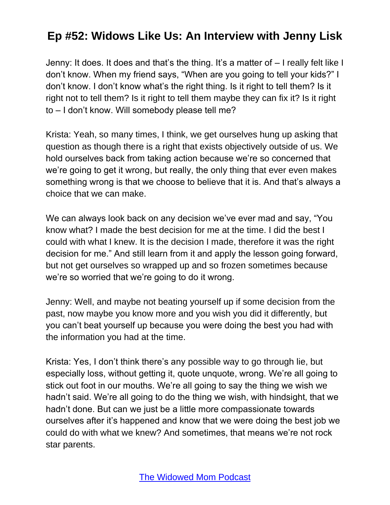Jenny: It does. It does and that's the thing. It's a matter of – I really felt like I don't know. When my friend says, "When are you going to tell your kids?" I don't know. I don't know what's the right thing. Is it right to tell them? Is it right not to tell them? Is it right to tell them maybe they can fix it? Is it right to – I don't know. Will somebody please tell me?

Krista: Yeah, so many times, I think, we get ourselves hung up asking that question as though there is a right that exists objectively outside of us. We hold ourselves back from taking action because we're so concerned that we're going to get it wrong, but really, the only thing that ever even makes something wrong is that we choose to believe that it is. And that's always a choice that we can make.

We can always look back on any decision we've ever mad and say, "You know what? I made the best decision for me at the time. I did the best I could with what I knew. It is the decision I made, therefore it was the right decision for me." And still learn from it and apply the lesson going forward, but not get ourselves so wrapped up and so frozen sometimes because we're so worried that we're going to do it wrong.

Jenny: Well, and maybe not beating yourself up if some decision from the past, now maybe you know more and you wish you did it differently, but you can't beat yourself up because you were doing the best you had with the information you had at the time.

Krista: Yes, I don't think there's any possible way to go through lie, but especially loss, without getting it, quote unquote, wrong. We're all going to stick out foot in our mouths. We're all going to say the thing we wish we hadn't said. We're all going to do the thing we wish, with hindsight, that we hadn't done. But can we just be a little more compassionate towards ourselves after it's happened and know that we were doing the best job we could do with what we knew? And sometimes, that means we're not rock star parents.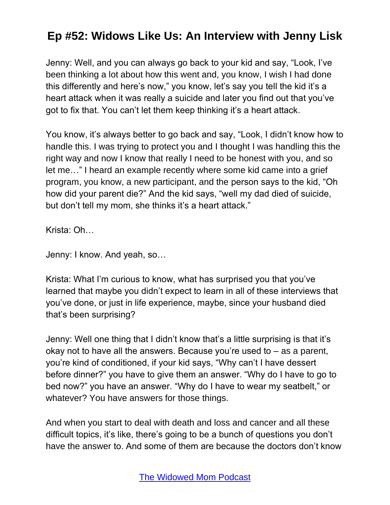Jenny: Well, and you can always go back to your kid and say, "Look, I've been thinking a lot about how this went and, you know, I wish I had done this differently and here's now," you know, let's say you tell the kid it's a heart attack when it was really a suicide and later you find out that you've got to fix that. You can't let them keep thinking it's a heart attack.

You know, it's always better to go back and say, "Look, I didn't know how to handle this. I was trying to protect you and I thought I was handling this the right way and now I know that really I need to be honest with you, and so let me…" I heard an example recently where some kid came into a grief program, you know, a new participant, and the person says to the kid, "Oh how did your parent die?" And the kid says, "well my dad died of suicide, but don't tell my mom, she thinks it's a heart attack."

Krista: Oh…

Jenny: I know. And yeah, so…

Krista: What I'm curious to know, what has surprised you that you've learned that maybe you didn't expect to learn in all of these interviews that you've done, or just in life experience, maybe, since your husband died that's been surprising?

Jenny: Well one thing that I didn't know that's a little surprising is that it's okay not to have all the answers. Because you're used to – as a parent, you're kind of conditioned, if your kid says, "Why can't I have dessert before dinner?" you have to give them an answer. "Why do I have to go to bed now?" you have an answer. "Why do I have to wear my seatbelt," or whatever? You have answers for those things.

And when you start to deal with death and loss and cancer and all these difficult topics, it's like, there's going to be a bunch of questions you don't have the answer to. And some of them are because the doctors don't know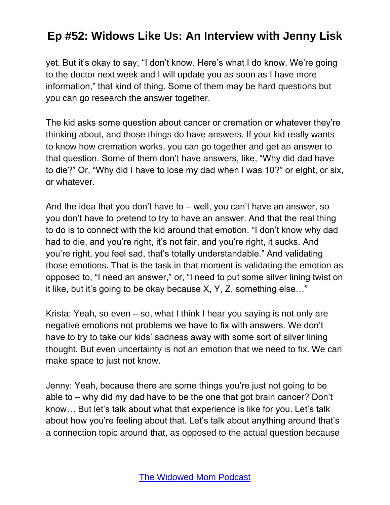yet. But it's okay to say, "I don't know. Here's what I do know. We're going to the doctor next week and I will update you as soon as I have more information," that kind of thing. Some of them may be hard questions but you can go research the answer together.

The kid asks some question about cancer or cremation or whatever they're thinking about, and those things do have answers. If your kid really wants to know how cremation works, you can go together and get an answer to that question. Some of them don't have answers, like, "Why did dad have to die?" Or, "Why did I have to lose my dad when I was 10?" or eight, or six, or whatever.

And the idea that you don't have to – well, you can't have an answer, so you don't have to pretend to try to have an answer. And that the real thing to do is to connect with the kid around that emotion. "I don't know why dad had to die, and you're right, it's not fair, and you're right, it sucks. And you're right, you feel sad, that's totally understandable." And validating those emotions. That is the task in that moment is validating the emotion as opposed to, "I need an answer," or, "I need to put some silver lining twist on it like, but it's going to be okay because X, Y, Z, something else…"

Krista: Yeah, so even – so, what I think I hear you saying is not only are negative emotions not problems we have to fix with answers. We don't have to try to take our kids' sadness away with some sort of silver lining thought. But even uncertainty is not an emotion that we need to fix. We can make space to just not know.

Jenny: Yeah, because there are some things you're just not going to be able to – why did my dad have to be the one that got brain cancer? Don't know… But let's talk about what that experience is like for you. Let's talk about how you're feeling about that. Let's talk about anything around that's a connection topic around that, as opposed to the actual question because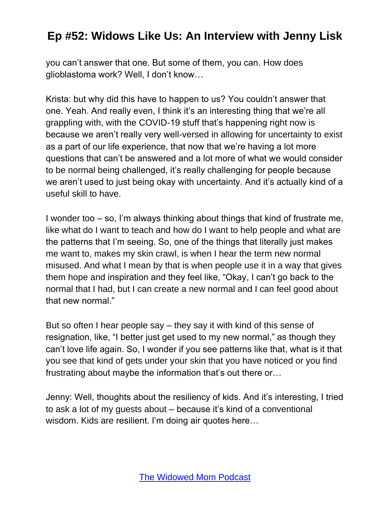you can't answer that one. But some of them, you can. How does glioblastoma work? Well, I don't know…

Krista: but why did this have to happen to us? You couldn't answer that one. Yeah. And really even, I think it's an interesting thing that we're all grappling with, with the COVID-19 stuff that's happening right now is because we aren't really very well-versed in allowing for uncertainty to exist as a part of our life experience, that now that we're having a lot more questions that can't be answered and a lot more of what we would consider to be normal being challenged, it's really challenging for people because we aren't used to just being okay with uncertainty. And it's actually kind of a useful skill to have.

I wonder too – so, I'm always thinking about things that kind of frustrate me, like what do I want to teach and how do I want to help people and what are the patterns that I'm seeing. So, one of the things that literally just makes me want to, makes my skin crawl, is when I hear the term new normal misused. And what I mean by that is when people use it in a way that gives them hope and inspiration and they feel like, "Okay, I can't go back to the normal that I had, but I can create a new normal and I can feel good about that new normal."

But so often I hear people say – they say it with kind of this sense of resignation, like, "I better just get used to my new normal," as though they can't love life again. So, I wonder if you see patterns like that, what is it that you see that kind of gets under your skin that you have noticed or you find frustrating about maybe the information that's out there or…

Jenny: Well, thoughts about the resiliency of kids. And it's interesting, I tried to ask a lot of my guests about – because it's kind of a conventional wisdom. Kids are resilient. I'm doing air quotes here…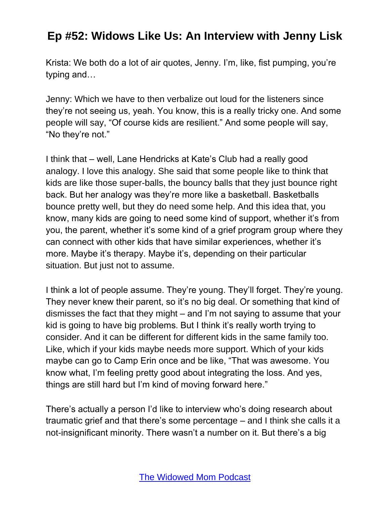Krista: We both do a lot of air quotes, Jenny. I'm, like, fist pumping, you're typing and…

Jenny: Which we have to then verbalize out loud for the listeners since they're not seeing us, yeah. You know, this is a really tricky one. And some people will say, "Of course kids are resilient." And some people will say, "No they're not."

I think that – well, Lane Hendricks at Kate's Club had a really good analogy. I love this analogy. She said that some people like to think that kids are like those super-balls, the bouncy balls that they just bounce right back. But her analogy was they're more like a basketball. Basketballs bounce pretty well, but they do need some help. And this idea that, you know, many kids are going to need some kind of support, whether it's from you, the parent, whether it's some kind of a grief program group where they can connect with other kids that have similar experiences, whether it's more. Maybe it's therapy. Maybe it's, depending on their particular situation. But just not to assume.

I think a lot of people assume. They're young. They'll forget. They're young. They never knew their parent, so it's no big deal. Or something that kind of dismisses the fact that they might – and I'm not saying to assume that your kid is going to have big problems. But I think it's really worth trying to consider. And it can be different for different kids in the same family too. Like, which if your kids maybe needs more support. Which of your kids maybe can go to Camp Erin once and be like, "That was awesome. You know what, I'm feeling pretty good about integrating the loss. And yes, things are still hard but I'm kind of moving forward here."

There's actually a person I'd like to interview who's doing research about traumatic grief and that there's some percentage – and I think she calls it a not-insignificant minority. There wasn't a number on it. But there's a big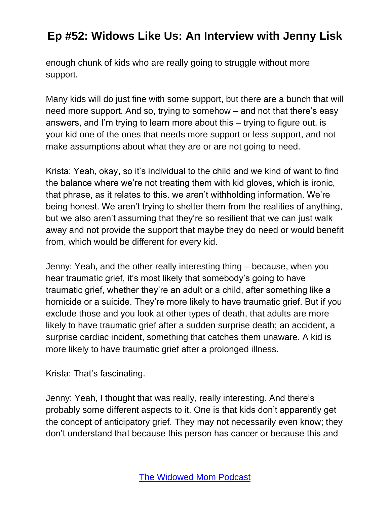enough chunk of kids who are really going to struggle without more support.

Many kids will do just fine with some support, but there are a bunch that will need more support. And so, trying to somehow – and not that there's easy answers, and I'm trying to learn more about this – trying to figure out, is your kid one of the ones that needs more support or less support, and not make assumptions about what they are or are not going to need.

Krista: Yeah, okay, so it's individual to the child and we kind of want to find the balance where we're not treating them with kid gloves, which is ironic, that phrase, as it relates to this. we aren't withholding information. We're being honest. We aren't trying to shelter them from the realities of anything, but we also aren't assuming that they're so resilient that we can just walk away and not provide the support that maybe they do need or would benefit from, which would be different for every kid.

Jenny: Yeah, and the other really interesting thing – because, when you hear traumatic grief, it's most likely that somebody's going to have traumatic grief, whether they're an adult or a child, after something like a homicide or a suicide. They're more likely to have traumatic grief. But if you exclude those and you look at other types of death, that adults are more likely to have traumatic grief after a sudden surprise death; an accident, a surprise cardiac incident, something that catches them unaware. A kid is more likely to have traumatic grief after a prolonged illness.

Krista: That's fascinating.

Jenny: Yeah, I thought that was really, really interesting. And there's probably some different aspects to it. One is that kids don't apparently get the concept of anticipatory grief. They may not necessarily even know; they don't understand that because this person has cancer or because this and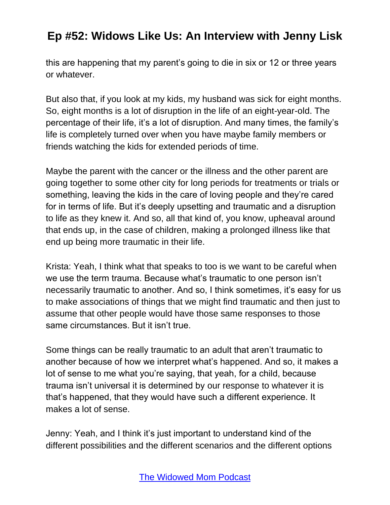this are happening that my parent's going to die in six or 12 or three years or whatever.

But also that, if you look at my kids, my husband was sick for eight months. So, eight months is a lot of disruption in the life of an eight-year-old. The percentage of their life, it's a lot of disruption. And many times, the family's life is completely turned over when you have maybe family members or friends watching the kids for extended periods of time.

Maybe the parent with the cancer or the illness and the other parent are going together to some other city for long periods for treatments or trials or something, leaving the kids in the care of loving people and they're cared for in terms of life. But it's deeply upsetting and traumatic and a disruption to life as they knew it. And so, all that kind of, you know, upheaval around that ends up, in the case of children, making a prolonged illness like that end up being more traumatic in their life.

Krista: Yeah, I think what that speaks to too is we want to be careful when we use the term trauma. Because what's traumatic to one person isn't necessarily traumatic to another. And so, I think sometimes, it's easy for us to make associations of things that we might find traumatic and then just to assume that other people would have those same responses to those same circumstances. But it isn't true.

Some things can be really traumatic to an adult that aren't traumatic to another because of how we interpret what's happened. And so, it makes a lot of sense to me what you're saying, that yeah, for a child, because trauma isn't universal it is determined by our response to whatever it is that's happened, that they would have such a different experience. It makes a lot of sense.

Jenny: Yeah, and I think it's just important to understand kind of the different possibilities and the different scenarios and the different options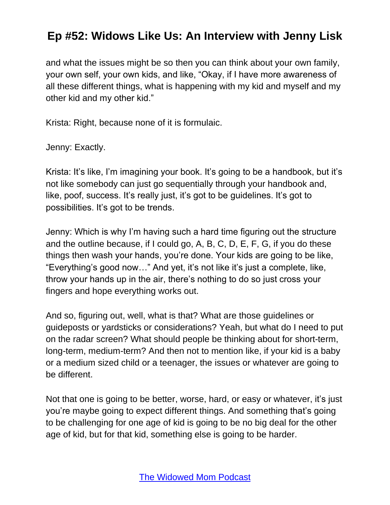and what the issues might be so then you can think about your own family, your own self, your own kids, and like, "Okay, if I have more awareness of all these different things, what is happening with my kid and myself and my other kid and my other kid."

Krista: Right, because none of it is formulaic.

Jenny: Exactly.

Krista: It's like, I'm imagining your book. It's going to be a handbook, but it's not like somebody can just go sequentially through your handbook and, like, poof, success. It's really just, it's got to be guidelines. It's got to possibilities. It's got to be trends.

Jenny: Which is why I'm having such a hard time figuring out the structure and the outline because, if I could go, A, B, C, D, E, F, G, if you do these things then wash your hands, you're done. Your kids are going to be like, "Everything's good now…" And yet, it's not like it's just a complete, like, throw your hands up in the air, there's nothing to do so just cross your fingers and hope everything works out.

And so, figuring out, well, what is that? What are those guidelines or guideposts or yardsticks or considerations? Yeah, but what do I need to put on the radar screen? What should people be thinking about for short-term, long-term, medium-term? And then not to mention like, if your kid is a baby or a medium sized child or a teenager, the issues or whatever are going to be different.

Not that one is going to be better, worse, hard, or easy or whatever, it's just you're maybe going to expect different things. And something that's going to be challenging for one age of kid is going to be no big deal for the other age of kid, but for that kid, something else is going to be harder.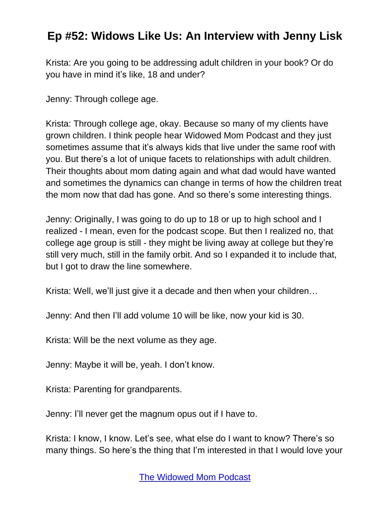Krista: Are you going to be addressing adult children in your book? Or do you have in mind it's like, 18 and under?

Jenny: Through college age.

Krista: Through college age, okay. Because so many of my clients have grown children. I think people hear Widowed Mom Podcast and they just sometimes assume that it's always kids that live under the same roof with you. But there's a lot of unique facets to relationships with adult children. Their thoughts about mom dating again and what dad would have wanted and sometimes the dynamics can change in terms of how the children treat the mom now that dad has gone. And so there's some interesting things.

Jenny: Originally, I was going to do up to 18 or up to high school and I realized - I mean, even for the podcast scope. But then I realized no, that college age group is still - they might be living away at college but they're still very much, still in the family orbit. And so I expanded it to include that, but I got to draw the line somewhere.

Krista: Well, we'll just give it a decade and then when your children…

Jenny: And then I'll add volume 10 will be like, now your kid is 30.

Krista: Will be the next volume as they age.

Jenny: Maybe it will be, yeah. I don't know.

Krista: Parenting for grandparents.

Jenny: I'll never get the magnum opus out if I have to.

Krista: I know, I know. Let's see, what else do I want to know? There's so many things. So here's the thing that I'm interested in that I would love your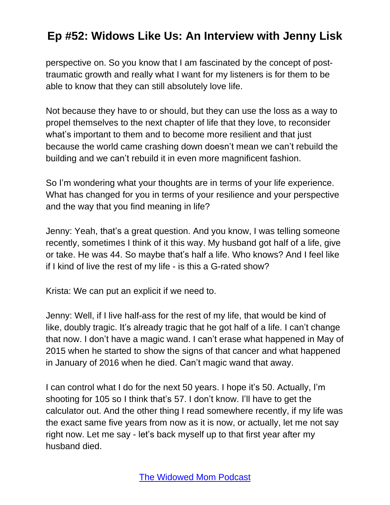perspective on. So you know that I am fascinated by the concept of posttraumatic growth and really what I want for my listeners is for them to be able to know that they can still absolutely love life.

Not because they have to or should, but they can use the loss as a way to propel themselves to the next chapter of life that they love, to reconsider what's important to them and to become more resilient and that just because the world came crashing down doesn't mean we can't rebuild the building and we can't rebuild it in even more magnificent fashion.

So I'm wondering what your thoughts are in terms of your life experience. What has changed for you in terms of your resilience and your perspective and the way that you find meaning in life?

Jenny: Yeah, that's a great question. And you know, I was telling someone recently, sometimes I think of it this way. My husband got half of a life, give or take. He was 44. So maybe that's half a life. Who knows? And I feel like if I kind of live the rest of my life - is this a G-rated show?

Krista: We can put an explicit if we need to.

Jenny: Well, if I live half-ass for the rest of my life, that would be kind of like, doubly tragic. It's already tragic that he got half of a life. I can't change that now. I don't have a magic wand. I can't erase what happened in May of 2015 when he started to show the signs of that cancer and what happened in January of 2016 when he died. Can't magic wand that away.

I can control what I do for the next 50 years. I hope it's 50. Actually, I'm shooting for 105 so I think that's 57. I don't know. I'll have to get the calculator out. And the other thing I read somewhere recently, if my life was the exact same five years from now as it is now, or actually, let me not say right now. Let me say - let's back myself up to that first year after my husband died.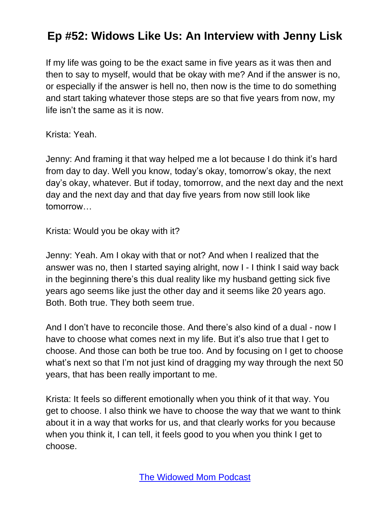If my life was going to be the exact same in five years as it was then and then to say to myself, would that be okay with me? And if the answer is no, or especially if the answer is hell no, then now is the time to do something and start taking whatever those steps are so that five years from now, my life isn't the same as it is now.

Krista: Yeah.

Jenny: And framing it that way helped me a lot because I do think it's hard from day to day. Well you know, today's okay, tomorrow's okay, the next day's okay, whatever. But if today, tomorrow, and the next day and the next day and the next day and that day five years from now still look like tomorrow…

Krista: Would you be okay with it?

Jenny: Yeah. Am I okay with that or not? And when I realized that the answer was no, then I started saying alright, now I - I think I said way back in the beginning there's this dual reality like my husband getting sick five years ago seems like just the other day and it seems like 20 years ago. Both. Both true. They both seem true.

And I don't have to reconcile those. And there's also kind of a dual - now I have to choose what comes next in my life. But it's also true that I get to choose. And those can both be true too. And by focusing on I get to choose what's next so that I'm not just kind of dragging my way through the next 50 years, that has been really important to me.

Krista: It feels so different emotionally when you think of it that way. You get to choose. I also think we have to choose the way that we want to think about it in a way that works for us, and that clearly works for you because when you think it, I can tell, it feels good to you when you think I get to choose.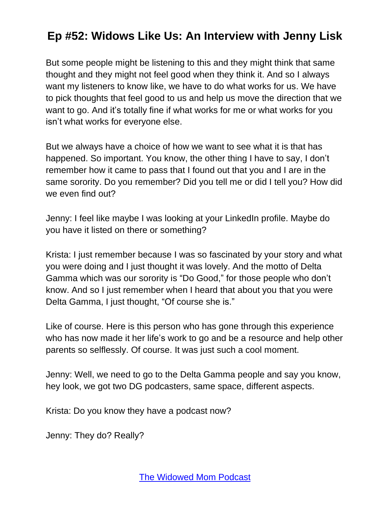But some people might be listening to this and they might think that same thought and they might not feel good when they think it. And so I always want my listeners to know like, we have to do what works for us. We have to pick thoughts that feel good to us and help us move the direction that we want to go. And it's totally fine if what works for me or what works for you isn't what works for everyone else.

But we always have a choice of how we want to see what it is that has happened. So important. You know, the other thing I have to say, I don't remember how it came to pass that I found out that you and I are in the same sorority. Do you remember? Did you tell me or did I tell you? How did we even find out?

Jenny: I feel like maybe I was looking at your LinkedIn profile. Maybe do you have it listed on there or something?

Krista: I just remember because I was so fascinated by your story and what you were doing and I just thought it was lovely. And the motto of Delta Gamma which was our sorority is "Do Good," for those people who don't know. And so I just remember when I heard that about you that you were Delta Gamma, I just thought, "Of course she is."

Like of course. Here is this person who has gone through this experience who has now made it her life's work to go and be a resource and help other parents so selflessly. Of course. It was just such a cool moment.

Jenny: Well, we need to go to the Delta Gamma people and say you know, hey look, we got two DG podcasters, same space, different aspects.

Krista: Do you know they have a podcast now?

Jenny: They do? Really?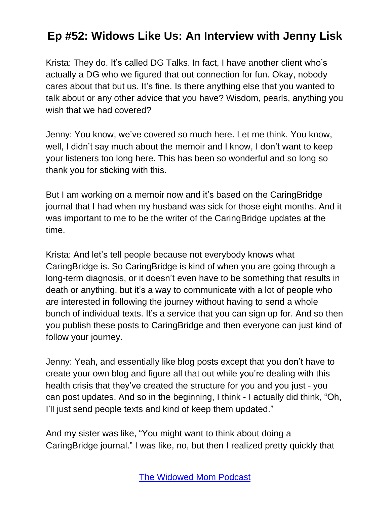Krista: They do. It's called DG Talks. In fact, I have another client who's actually a DG who we figured that out connection for fun. Okay, nobody cares about that but us. It's fine. Is there anything else that you wanted to talk about or any other advice that you have? Wisdom, pearls, anything you wish that we had covered?

Jenny: You know, we've covered so much here. Let me think. You know, well, I didn't say much about the memoir and I know, I don't want to keep your listeners too long here. This has been so wonderful and so long so thank you for sticking with this.

But I am working on a memoir now and it's based on the CaringBridge journal that I had when my husband was sick for those eight months. And it was important to me to be the writer of the CaringBridge updates at the time.

Krista: And let's tell people because not everybody knows what CaringBridge is. So CaringBridge is kind of when you are going through a long-term diagnosis, or it doesn't even have to be something that results in death or anything, but it's a way to communicate with a lot of people who are interested in following the journey without having to send a whole bunch of individual texts. It's a service that you can sign up for. And so then you publish these posts to CaringBridge and then everyone can just kind of follow your journey.

Jenny: Yeah, and essentially like blog posts except that you don't have to create your own blog and figure all that out while you're dealing with this health crisis that they've created the structure for you and you just - you can post updates. And so in the beginning, I think - I actually did think, "Oh, I'll just send people texts and kind of keep them updated."

And my sister was like, "You might want to think about doing a CaringBridge journal." I was like, no, but then I realized pretty quickly that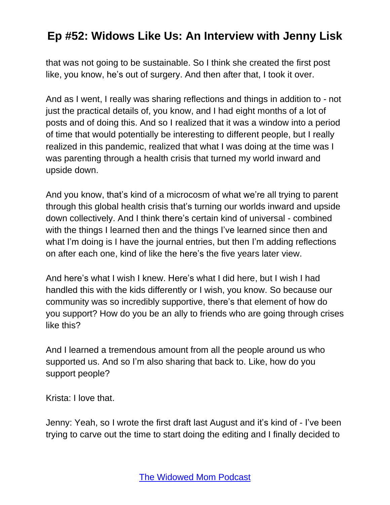that was not going to be sustainable. So I think she created the first post like, you know, he's out of surgery. And then after that, I took it over.

And as I went, I really was sharing reflections and things in addition to - not just the practical details of, you know, and I had eight months of a lot of posts and of doing this. And so I realized that it was a window into a period of time that would potentially be interesting to different people, but I really realized in this pandemic, realized that what I was doing at the time was I was parenting through a health crisis that turned my world inward and upside down.

And you know, that's kind of a microcosm of what we're all trying to parent through this global health crisis that's turning our worlds inward and upside down collectively. And I think there's certain kind of universal - combined with the things I learned then and the things I've learned since then and what I'm doing is I have the journal entries, but then I'm adding reflections on after each one, kind of like the here's the five years later view.

And here's what I wish I knew. Here's what I did here, but I wish I had handled this with the kids differently or I wish, you know. So because our community was so incredibly supportive, there's that element of how do you support? How do you be an ally to friends who are going through crises like this?

And I learned a tremendous amount from all the people around us who supported us. And so I'm also sharing that back to. Like, how do you support people?

Krista: I love that.

Jenny: Yeah, so I wrote the first draft last August and it's kind of - I've been trying to carve out the time to start doing the editing and I finally decided to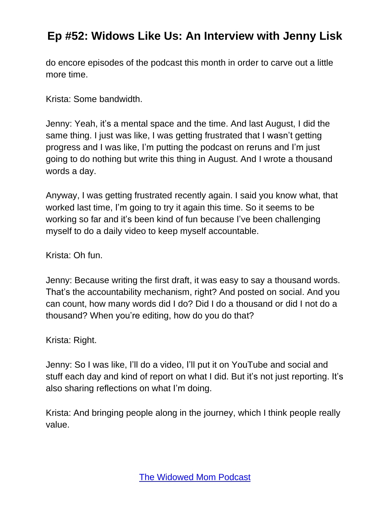do encore episodes of the podcast this month in order to carve out a little more time.

Krista: Some bandwidth.

Jenny: Yeah, it's a mental space and the time. And last August, I did the same thing. I just was like, I was getting frustrated that I wasn't getting progress and I was like, I'm putting the podcast on reruns and I'm just going to do nothing but write this thing in August. And I wrote a thousand words a day.

Anyway, I was getting frustrated recently again. I said you know what, that worked last time, I'm going to try it again this time. So it seems to be working so far and it's been kind of fun because I've been challenging myself to do a daily video to keep myself accountable.

Krista: Oh fun.

Jenny: Because writing the first draft, it was easy to say a thousand words. That's the accountability mechanism, right? And posted on social. And you can count, how many words did I do? Did I do a thousand or did I not do a thousand? When you're editing, how do you do that?

Krista: Right.

Jenny: So I was like, I'll do a video, I'll put it on YouTube and social and stuff each day and kind of report on what I did. But it's not just reporting. It's also sharing reflections on what I'm doing.

Krista: And bringing people along in the journey, which I think people really value.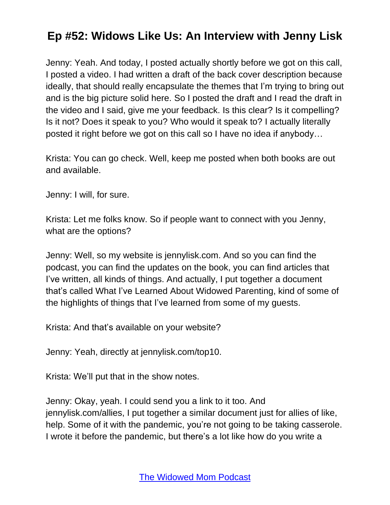Jenny: Yeah. And today, I posted actually shortly before we got on this call, I posted a video. I had written a draft of the back cover description because ideally, that should really encapsulate the themes that I'm trying to bring out and is the big picture solid here. So I posted the draft and I read the draft in the video and I said, give me your feedback. Is this clear? Is it compelling? Is it not? Does it speak to you? Who would it speak to? I actually literally posted it right before we got on this call so I have no idea if anybody…

Krista: You can go check. Well, keep me posted when both books are out and available.

Jenny: I will, for sure.

Krista: Let me folks know. So if people want to connect with you Jenny, what are the options?

Jenny: Well, so my website is jennylisk.com. And so you can find the podcast, you can find the updates on the book, you can find articles that I've written, all kinds of things. And actually, I put together a document that's called What I've Learned About Widowed Parenting, kind of some of the highlights of things that I've learned from some of my guests.

Krista: And that's available on your website?

Jenny: Yeah, directly at jennylisk.com/top10.

Krista: We'll put that in the show notes.

Jenny: Okay, yeah. I could send you a link to it too. And jennylisk.com/allies, I put together a similar document just for allies of like, help. Some of it with the pandemic, you're not going to be taking casserole. I wrote it before the pandemic, but there's a lot like how do you write a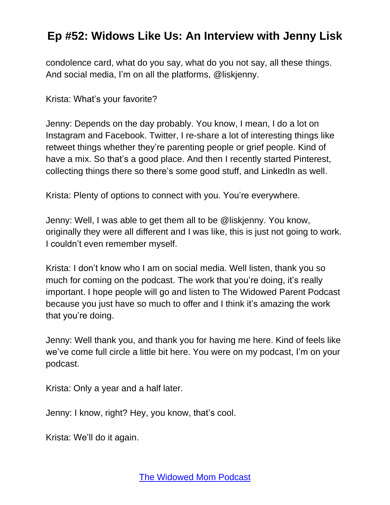condolence card, what do you say, what do you not say, all these things. And social media, I'm on all the platforms, @liskjenny.

Krista: What's your favorite?

Jenny: Depends on the day probably. You know, I mean, I do a lot on Instagram and Facebook. Twitter, I re-share a lot of interesting things like retweet things whether they're parenting people or grief people. Kind of have a mix. So that's a good place. And then I recently started Pinterest, collecting things there so there's some good stuff, and LinkedIn as well.

Krista: Plenty of options to connect with you. You're everywhere.

Jenny: Well, I was able to get them all to be @liskjenny. You know, originally they were all different and I was like, this is just not going to work. I couldn't even remember myself.

Krista: I don't know who I am on social media. Well listen, thank you so much for coming on the podcast. The work that you're doing, it's really important. I hope people will go and listen to The Widowed Parent Podcast because you just have so much to offer and I think it's amazing the work that you're doing.

Jenny: Well thank you, and thank you for having me here. Kind of feels like we've come full circle a little bit here. You were on my podcast, I'm on your podcast.

Krista: Only a year and a half later.

Jenny: I know, right? Hey, you know, that's cool.

Krista: We'll do it again.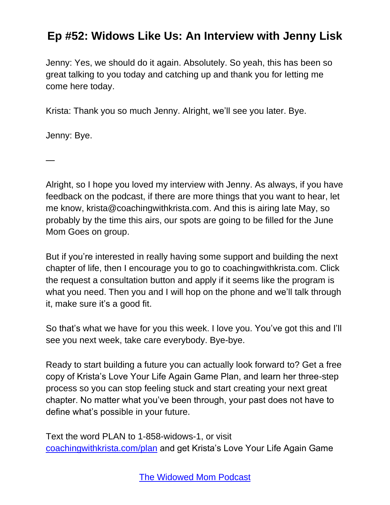Jenny: Yes, we should do it again. Absolutely. So yeah, this has been so great talking to you today and catching up and thank you for letting me come here today.

Krista: Thank you so much Jenny. Alright, we'll see you later. Bye.

Jenny: Bye.

—

Alright, so I hope you loved my interview with Jenny. As always, if you have feedback on the podcast, if there are more things that you want to hear, let me know, krista@coachingwithkrista.com. And this is airing late May, so probably by the time this airs, our spots are going to be filled for the June Mom Goes on group.

But if you're interested in really having some support and building the next chapter of life, then I encourage you to go to coachingwithkrista.com. Click the request a consultation button and apply if it seems like the program is what you need. Then you and I will hop on the phone and we'll talk through it, make sure it's a good fit.

So that's what we have for you this week. I love you. You've got this and I'll see you next week, take care everybody. Bye-bye.

Ready to start building a future you can actually look forward to? Get a free copy of Krista's Love Your Life Again Game Plan, and learn her three-step process so you can stop feeling stuck and start creating your next great chapter. No matter what you've been through, your past does not have to define what's possible in your future.

Text the word PLAN to 1-858-widows-1, or visit [coachingwithkrista.com/plan](http://www.coachingwithkrista.com/plan) and get Krista's Love Your Life Again Game